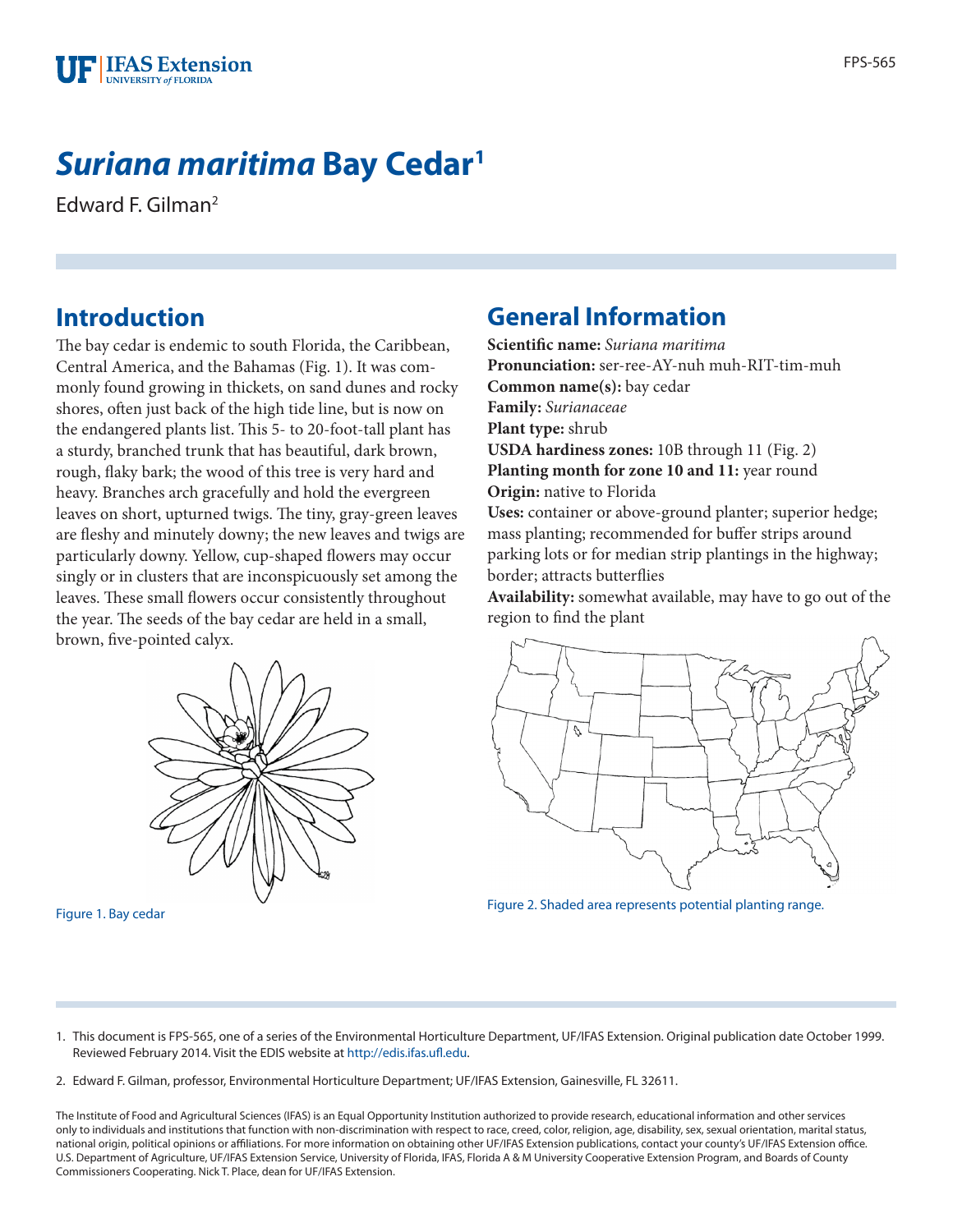

# *Suriana maritima* **Bay Cedar1**

Edward F. Gilman2

### **Introduction**

The bay cedar is endemic to south Florida, the Caribbean, Central America, and the Bahamas (Fig. 1). It was commonly found growing in thickets, on sand dunes and rocky shores, often just back of the high tide line, but is now on the endangered plants list. This 5- to 20-foot-tall plant has a sturdy, branched trunk that has beautiful, dark brown, rough, flaky bark; the wood of this tree is very hard and heavy. Branches arch gracefully and hold the evergreen leaves on short, upturned twigs. The tiny, gray-green leaves are fleshy and minutely downy; the new leaves and twigs are particularly downy. Yellow, cup-shaped flowers may occur singly or in clusters that are inconspicuously set among the leaves. These small flowers occur consistently throughout the year. The seeds of the bay cedar are held in a small, brown, five-pointed calyx.



# **General Information**

**Scientific name:** *Suriana maritima* **Pronunciation:** ser-ree-AY-nuh muh-RIT-tim-muh **Common name(s):** bay cedar **Family:** *Surianaceae* **Plant type:** shrub **USDA hardiness zones:** 10B through 11 (Fig. 2) Planting month for zone 10 and 11: year round **Origin:** native to Florida **Uses:** container or above-ground planter; superior hedge; mass planting; recommended for buffer strips around parking lots or for median strip plantings in the highway; border; attracts butterflies

**Availability:** somewhat available, may have to go out of the region to find the plant



Figure 1. Bay cedar Figure 2. Shaded area represents potential planting range.

- 1. This document is FPS-565, one of a series of the Environmental Horticulture Department, UF/IFAS Extension. Original publication date October 1999. Reviewed February 2014. Visit the EDIS website at<http://edis.ifas.ufl.edu>.
- 2. Edward F. Gilman, professor, Environmental Horticulture Department; UF/IFAS Extension, Gainesville, FL 32611.

The Institute of Food and Agricultural Sciences (IFAS) is an Equal Opportunity Institution authorized to provide research, educational information and other services only to individuals and institutions that function with non-discrimination with respect to race, creed, color, religion, age, disability, sex, sexual orientation, marital status, national origin, political opinions or affiliations. For more information on obtaining other UF/IFAS Extension publications, contact your county's UF/IFAS Extension office. U.S. Department of Agriculture, UF/IFAS Extension Service, University of Florida, IFAS, Florida A & M University Cooperative Extension Program, and Boards of County Commissioners Cooperating. Nick T. Place, dean for UF/IFAS Extension.